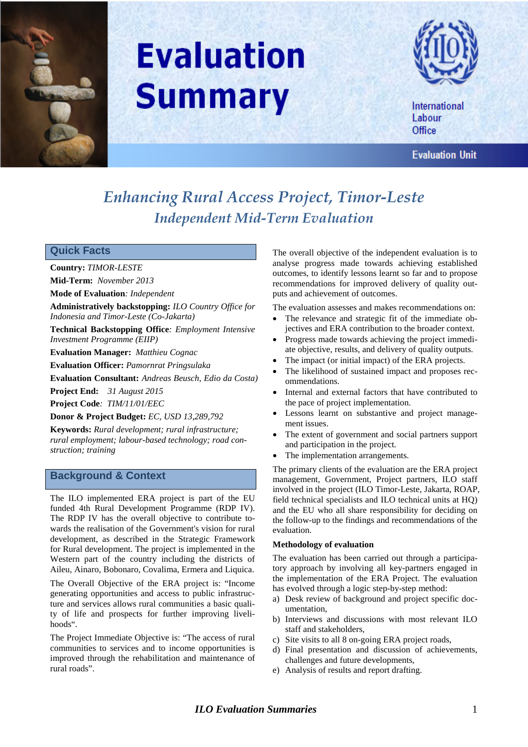

# **Evaluation Summary**



International Labour Office

**Evaluation Unit** 

# *Enhancing Rural Access Project, Timor-Leste Independent Mid-Term Evaluation*

# **Quick Facts**

**Country:** *TIMOR-LESTE*

**Mid-Term:** *November 2013*

**Mode of Evaluation***: Independent*

**Administratively backstopping:** *ILO Country Office for Indonesia and Timor-Leste (Co-Jakarta)*

**Technical Backstopping Office***: Employment Intensive Investment Programme (EIIP)*

**Evaluation Manager:** *Matthieu Cognac*

**Evaluation Officer:** *Pamornrat Pringsulaka*

**Evaluation Consultant:** *Andreas Beusch, Edio da Costa)*

**Project End:** *31 August 2015*

**Project Code***: TIM/11/01/EEC*

**Donor & Project Budget:** *EC, USD 13,289,792*

**Keywords:** *Rural development; rural infrastructure; rural employment; labour-based technology; road construction; training*

### **Background & Context**

The ILO implemented ERA project is part of the EU funded 4th Rural Development Programme (RDP IV). The RDP IV has the overall objective to contribute towards the realisation of the Government's vision for rural development, as described in the Strategic Framework for Rural development. The project is implemented in the Western part of the country including the districts of Aileu, Ainaro, Bobonaro, Covalima, Ermera and Liquica.

The Overall Objective of the ERA project is: "Income generating opportunities and access to public infrastructure and services allows rural communities a basic quality of life and prospects for further improving livelihoods".

The Project Immediate Objective is: "The access of rural communities to services and to income opportunities is improved through the rehabilitation and maintenance of rural roads".

The overall objective of the independent evaluation is to analyse progress made towards achieving established outcomes, to identify lessons learnt so far and to propose recommendations for improved delivery of quality outputs and achievement of outcomes.

The evaluation assesses and makes recommendations on:

- The relevance and strategic fit of the immediate objectives and ERA contribution to the broader context.
- Progress made towards achieving the project immediate objective, results, and delivery of quality outputs.
- The impact (or initial impact) of the ERA projects.
- The likelihood of sustained impact and proposes recommendations.
- Internal and external factors that have contributed to the pace of project implementation.
- Lessons learnt on substantive and project management issues.
- The extent of government and social partners support and participation in the project.
- The implementation arrangements.

The primary clients of the evaluation are the ERA project management, Government, Project partners, ILO staff involved in the project (ILO Timor-Leste, Jakarta, ROAP, field technical specialists and ILO technical units at HQ) and the EU who all share responsibility for deciding on the follow-up to the findings and recommendations of the evaluation.

#### **Methodology of evaluation**

The evaluation has been carried out through a participatory approach by involving all key-partners engaged in the implementation of the ERA Project. The evaluation has evolved through a logic step-by-step method:

- a) Desk review of background and project specific documentation,
- b) Interviews and discussions with most relevant ILO staff and stakeholders,
- c) Site visits to all 8 on-going ERA project roads,
- d) Final presentation and discussion of achievements, challenges and future developments,
- e) Analysis of results and report drafting.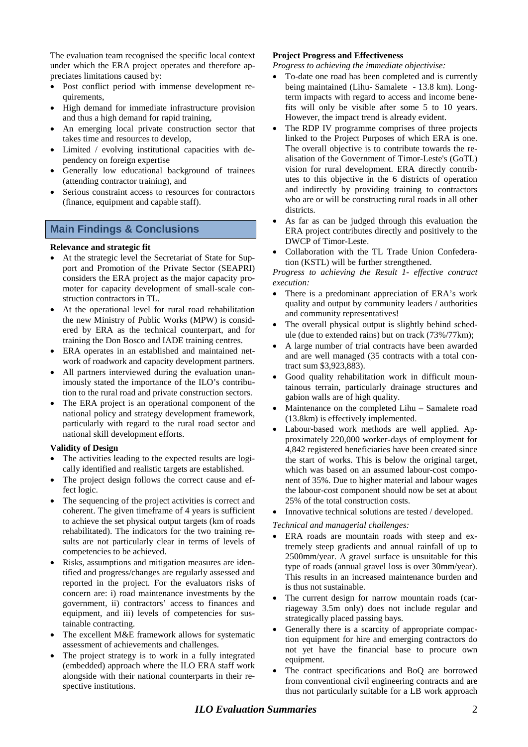The evaluation team recognised the specific local context under which the ERA project operates and therefore appreciates limitations caused by:

- Post conflict period with immense development requirements,
- High demand for immediate infrastructure provision and thus a high demand for rapid training,
- An emerging local private construction sector that takes time and resources to develop,
- Limited / evolving institutional capacities with dependency on foreign expertise
- Generally low educational background of trainees (attending contractor training), and
- Serious constraint access to resources for contractors (finance, equipment and capable staff).

# **Main Findings & Conclusions**

#### **Relevance and strategic fit**

- At the strategic level the Secretariat of State for Support and Promotion of the Private Sector (SEAPRI) considers the ERA project as the major capacity promoter for capacity development of small-scale construction contractors in TL.
- At the operational level for rural road rehabilitation the new Ministry of Public Works (MPW) is considered by ERA as the technical counterpart, and for training the Don Bosco and IADE training centres.
- ERA operates in an established and maintained network of roadwork and capacity development partners.
- All partners interviewed during the evaluation unanimously stated the importance of the ILO's contribution to the rural road and private construction sectors.
- The ERA project is an operational component of the national policy and strategy development framework, particularly with regard to the rural road sector and national skill development efforts.

#### **Validity of Design**

- The activities leading to the expected results are logically identified and realistic targets are established.
- The project design follows the correct cause and effect logic.
- The sequencing of the project activities is correct and coherent. The given timeframe of 4 years is sufficient to achieve the set physical output targets (km of roads rehabilitated). The indicators for the two training results are not particularly clear in terms of levels of competencies to be achieved.
- Risks, assumptions and mitigation measures are identified and progress/changes are regularly assessed and reported in the project. For the evaluators risks of concern are: i) road maintenance investments by the government, ii) contractors' access to finances and equipment, and iii) levels of competencies for sustainable contracting.
- The excellent M&E framework allows for systematic assessment of achievements and challenges.
- The project strategy is to work in a fully integrated (embedded) approach where the ILO ERA staff work alongside with their national counterparts in their respective institutions.

#### **Project Progress and Effectiveness**

*Progress to achieving the immediate objectivise:*

- To-date one road has been completed and is currently being maintained (Lihu- Samalete - 13.8 km). Longterm impacts with regard to access and income benefits will only be visible after some 5 to 10 years. However, the impact trend is already evident.
- The RDP IV programme comprises of three projects linked to the Project Purposes of which ERA is one. The overall objective is to contribute towards the realisation of the Government of Timor-Leste's (GoTL) vision for rural development. ERA directly contributes to this objective in the 6 districts of operation and indirectly by providing training to contractors who are or will be constructing rural roads in all other districts.
- As far as can be judged through this evaluation the ERA project contributes directly and positively to the DWCP of Timor-Leste.
- Collaboration with the TL Trade Union Confederation (KSTL) will be further strengthened.

*Progress to achieving the Result 1- effective contract execution:*

- There is a predominant appreciation of ERA's work quality and output by community leaders / authorities and community representatives!
- The overall physical output is slightly behind schedule (due to extended rains) but on track (73%/77km);
- A large number of trial contracts have been awarded and are well managed (35 contracts with a total contract sum \$3,923,883).
- Good quality rehabilitation work in difficult mountainous terrain, particularly drainage structures and gabion walls are of high quality.
- Maintenance on the completed Lihu Samalete road (13.8km) is effectively implemented.
- Labour-based work methods are well applied. Approximately 220,000 worker-days of employment for 4,842 registered beneficiaries have been created since the start of works. This is below the original target, which was based on an assumed labour-cost component of 35%. Due to higher material and labour wages the labour-cost component should now be set at about 25% of the total construction costs.
- Innovative technical solutions are tested / developed.

#### *Technical and managerial challenges:*

- ERA roads are mountain roads with steep and extremely steep gradients and annual rainfall of up to 2500mm/year. A gravel surface is unsuitable for this type of roads (annual gravel loss is over 30mm/year). This results in an increased maintenance burden and is thus not sustainable.
- The current design for narrow mountain roads (carriageway 3.5m only) does not include regular and strategically placed passing bays.
- Generally there is a scarcity of appropriate compaction equipment for hire and emerging contractors do not yet have the financial base to procure own equipment.
- The contract specifications and BoQ are borrowed from conventional civil engineering contracts and are thus not particularly suitable for a LB work approach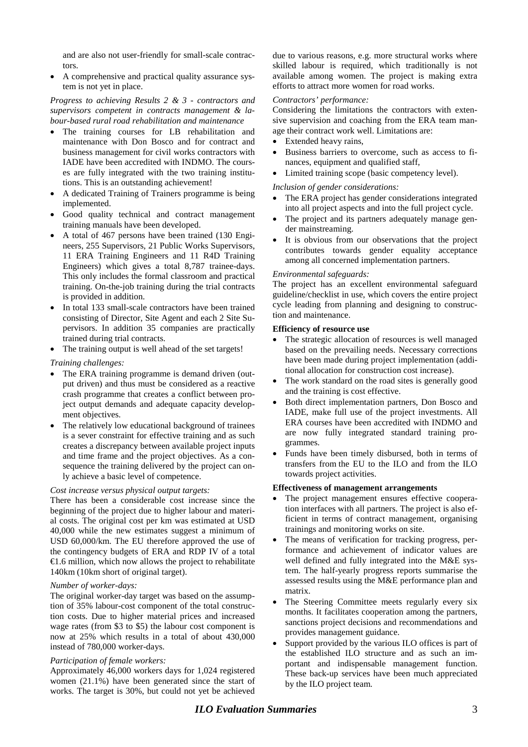and are also not user-friendly for small-scale contractors.

• A comprehensive and practical quality assurance system is not yet in place.

#### *Progress to achieving Results 2 & 3 - contractors and supervisors competent in contracts management & labour-based rural road rehabilitation and maintenance*

- The training courses for LB rehabilitation and maintenance with Don Bosco and for contract and business management for civil works contractors with IADE have been accredited with INDMO. The courses are fully integrated with the two training institutions. This is an outstanding achievement!
- A dedicated Training of Trainers programme is being implemented.
- Good quality technical and contract management training manuals have been developed.
- A total of 467 persons have been trained (130 Engineers, 255 Supervisors, 21 Public Works Supervisors, 11 ERA Training Engineers and 11 R4D Training Engineers) which gives a total 8,787 trainee-days. This only includes the formal classroom and practical training. On-the-job training during the trial contracts is provided in addition.
- In total 133 small-scale contractors have been trained consisting of Director, Site Agent and each 2 Site Supervisors. In addition 35 companies are practically trained during trial contracts.
- The training output is well ahead of the set targets!

#### *Training challenges:*

- The ERA training programme is demand driven (output driven) and thus must be considered as a reactive crash programme that creates a conflict between project output demands and adequate capacity development objectives.
- The relatively low educational background of trainees is a sever constraint for effective training and as such creates a discrepancy between available project inputs and time frame and the project objectives. As a consequence the training delivered by the project can only achieve a basic level of competence.

#### *Cost increase versus physical output targets:*

There has been a considerable cost increase since the beginning of the project due to higher labour and material costs. The original cost per km was estimated at USD 40,000 while the new estimates suggest a minimum of USD 60,000/km. The EU therefore approved the use of the contingency budgets of ERA and RDP IV of a total €1.6 million, which now allows the project to rehabilitate 140km (10km short of original target).

#### *Number of worker-days:*

The original worker-day target was based on the assumption of 35% labour-cost component of the total construction costs. Due to higher material prices and increased wage rates (from \$3 to \$5) the labour cost component is now at 25% which results in a total of about 430,000 instead of 780,000 worker-days.

#### *Participation of female workers:*

Approximately 46,000 workers days for 1,024 registered women (21.1%) have been generated since the start of works. The target is 30%, but could not yet be achieved

due to various reasons, e.g. more structural works where skilled labour is required, which traditionally is not available among women. The project is making extra efforts to attract more women for road works.

#### *Contractors' performance:*

Considering the limitations the contractors with extensive supervision and coaching from the ERA team manage their contract work well. Limitations are:

- Extended heavy rains,
- Business barriers to overcome, such as access to finances, equipment and qualified staff,
- Limited training scope (basic competency level).

#### *Inclusion of gender considerations:*

- The ERA project has gender considerations integrated into all project aspects and into the full project cycle.
- The project and its partners adequately manage gender mainstreaming.
- It is obvious from our observations that the project contributes towards gender equality acceptance among all concerned implementation partners.

#### *Environmental safeguards:*

The project has an excellent environmental safeguard guideline/checklist in use, which covers the entire project cycle leading from planning and designing to construction and maintenance.

#### **Efficiency of resource use**

- The strategic allocation of resources is well managed based on the prevailing needs. Necessary corrections have been made during project implementation (additional allocation for construction cost increase).
- The work standard on the road sites is generally good and the training is cost effective.
- Both direct implementation partners, Don Bosco and IADE, make full use of the project investments. All ERA courses have been accredited with INDMO and are now fully integrated standard training programmes.
- Funds have been timely disbursed, both in terms of transfers from the EU to the ILO and from the ILO towards project activities.

#### **Effectiveness of management arrangements**

- The project management ensures effective cooperation interfaces with all partners. The project is also efficient in terms of contract management, organising trainings and monitoring works on site.
- The means of verification for tracking progress, performance and achievement of indicator values are well defined and fully integrated into the M&E system. The half-yearly progress reports summarise the assessed results using the M&E performance plan and matrix.
- The Steering Committee meets regularly every six months. It facilitates cooperation among the partners, sanctions project decisions and recommendations and provides management guidance.
- Support provided by the various ILO offices is part of the established ILO structure and as such an important and indispensable management function. These back-up services have been much appreciated by the ILO project team.